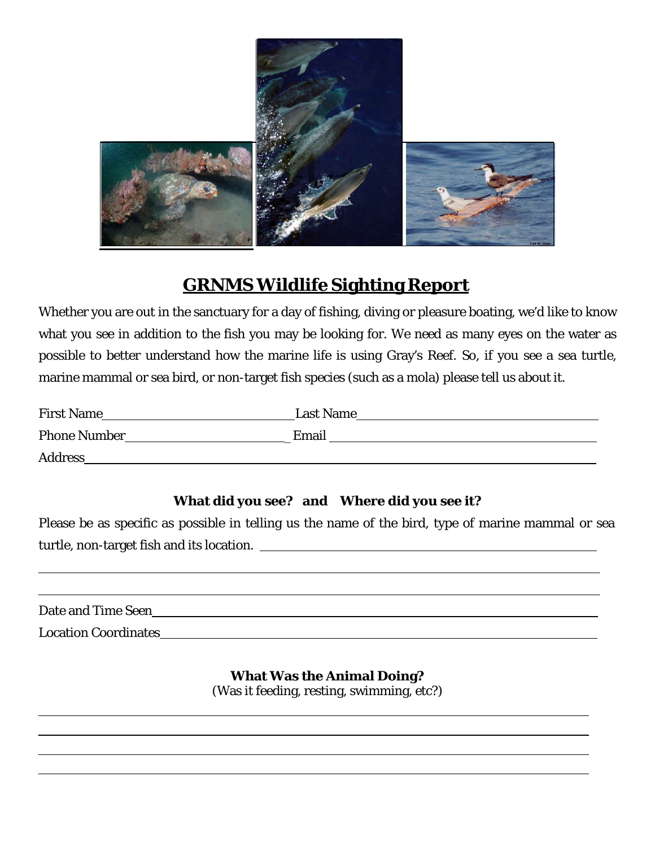

## **GRNMS Wildlife Sighting Report**

Whether you are out in the sanctuary for a day of fishing, diving or pleasure boating, we'd like to know what you see in addition to the fish you may be looking for. We need as many eyes on the water as possible to better understand how the marine life is using Gray's Reef. So, if you see a sea turtle, marine mammal or sea bird, or non-target fish species (such as a mola) please tell us about it.

| <b>First Name</b>   | <b>Last Name</b> |
|---------------------|------------------|
| <b>Phone Number</b> | Email            |
| <b>Address</b>      |                  |

## **What did you see? and Where did you see it?**

Please be as specific as possible in telling us the name of the bird, type of marine mammal or sea turtle, non-target fish and its location.

| Date and Time Seen |                             |  |  |
|--------------------|-----------------------------|--|--|
|                    |                             |  |  |
|                    |                             |  |  |
|                    | <b>Location Coordinates</b> |  |  |

**What Was the Animal Doing?** (Was it feeding, resting, swimming, etc?)